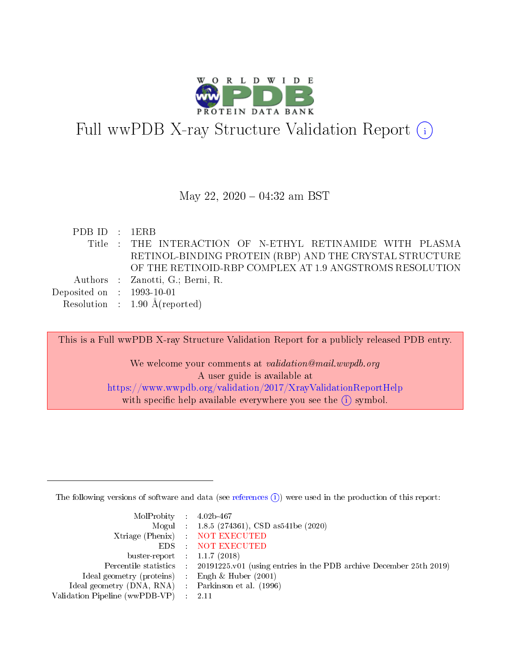

# Full wwPDB X-ray Structure Validation Report (i)

#### May 22, 2020 - 04:32 am BST

| PDB ID : 1ERB               |                                                           |
|-----------------------------|-----------------------------------------------------------|
|                             | Title : THE INTERACTION OF N-ETHYL RETINAMIDE WITH PLASMA |
|                             | RETINOL-BINDING PROTEIN (RBP) AND THE CRYSTAL STRUCTURE   |
|                             | OF THE RETINOID-RBP COMPLEX AT 1.9 ANGSTROMS RESOLUTION   |
|                             | Authors : Zanotti, G.; Berni, R.                          |
| Deposited on : $1993-10-01$ |                                                           |
|                             | Resolution : $1.90 \text{ Å}$ (reported)                  |

This is a Full wwPDB X-ray Structure Validation Report for a publicly released PDB entry. We welcome your comments at validation@mail.wwpdb.org A user guide is available at <https://www.wwpdb.org/validation/2017/XrayValidationReportHelp> with specific help available everywhere you see the  $(i)$  symbol.

The following versions of software and data (see [references](https://www.wwpdb.org/validation/2017/XrayValidationReportHelp#references)  $(i)$ ) were used in the production of this report:

| MolProbity : $4.02b-467$                            |                                                                                            |
|-----------------------------------------------------|--------------------------------------------------------------------------------------------|
|                                                     | Mogul : $1.8.5$ (274361), CSD as 541be (2020)                                              |
|                                                     | Xtriage (Phenix) NOT EXECUTED                                                              |
|                                                     | EDS : NOT EXECUTED                                                                         |
| buster-report : $1.1.7(2018)$                       |                                                                                            |
|                                                     | Percentile statistics : 20191225.v01 (using entries in the PDB archive December 25th 2019) |
| Ideal geometry (proteins) :                         | Engh & Huber $(2001)$                                                                      |
| Ideal geometry (DNA, RNA) : Parkinson et al. (1996) |                                                                                            |
| Validation Pipeline (wwPDB-VP)                      | -2.11                                                                                      |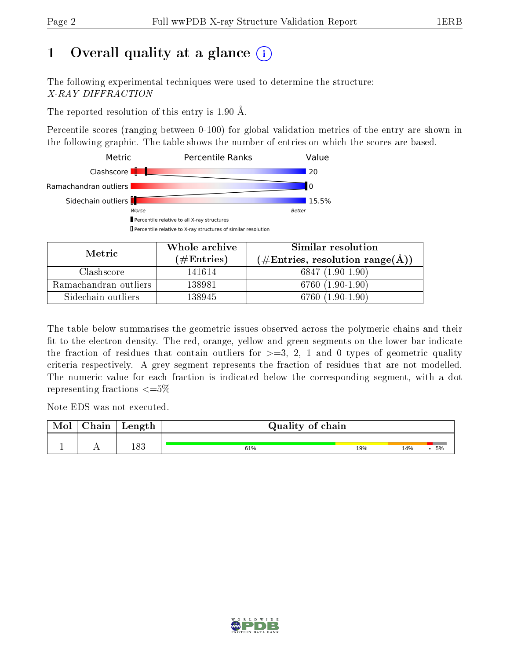## 1 [O](https://www.wwpdb.org/validation/2017/XrayValidationReportHelp#overall_quality)verall quality at a glance  $(i)$

The following experimental techniques were used to determine the structure: X-RAY DIFFRACTION

The reported resolution of this entry is 1.90 Å.

Percentile scores (ranging between 0-100) for global validation metrics of the entry are shown in the following graphic. The table shows the number of entries on which the scores are based.



|                       | Whole archive        | Similar resolution                   |
|-----------------------|----------------------|--------------------------------------|
| Metric                | $(\#\text{Entries})$ | (#Entries, resolution range( $\AA$ ) |
| Clashscore            | 141614               | $6847(1.90-1.90)$                    |
| Ramachandran outliers | 138981               | 6760 (1.90-1.90)                     |
| Sidechain outliers    | 138945               | 6760 (1.90-1.90)                     |

The table below summarises the geometric issues observed across the polymeric chains and their fit to the electron density. The red, orange, yellow and green segments on the lower bar indicate the fraction of residues that contain outliers for  $\geq=3$ , 2, 1 and 0 types of geometric quality criteria respectively. A grey segment represents the fraction of residues that are not modelled. The numeric value for each fraction is indicated below the corresponding segment, with a dot representing fractions  $\epsilon = 5\%$ 

Note EDS was not executed.

| <b>Mol</b> | $\sim$ 1<br>$2$ hain | Length      | Quality of chain |     |     |    |
|------------|----------------------|-------------|------------------|-----|-----|----|
|            | . .                  | 189<br>10 J | 61%              | 19% | 14% | 5% |

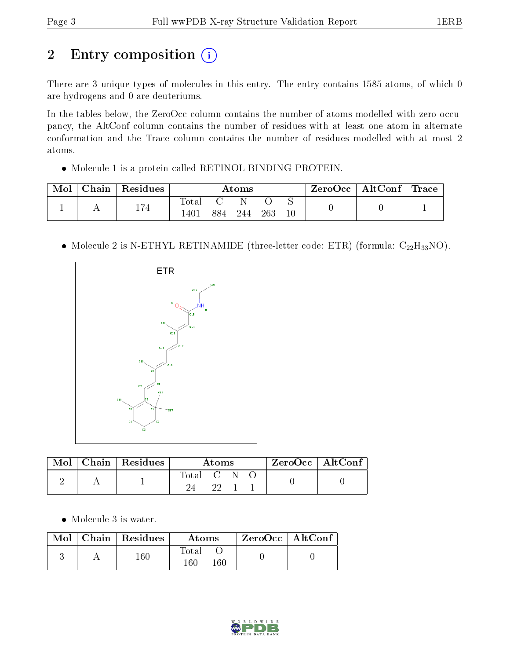## 2 Entry composition (i)

There are 3 unique types of molecules in this entry. The entry contains 1585 atoms, of which 0 are hydrogens and 0 are deuteriums.

In the tables below, the ZeroOcc column contains the number of atoms modelled with zero occupancy, the AltConf column contains the number of residues with at least one atom in alternate conformation and the Trace column contains the number of residues modelled with at most 2 atoms.

Molecule 1 is a protein called RETINOL BINDING PROTEIN.

| Mol | Chain | Residues | $\rm{Atoms}$    |     |     |     | ZeroOcc∣ | $\mid$ AltConf $\mid$ | Trace |  |
|-----|-------|----------|-----------------|-----|-----|-----|----------|-----------------------|-------|--|
|     |       | 71       | Tota.           |     |     |     |          |                       |       |  |
|     |       | 114      | $140^{\degree}$ | 884 | 244 | 263 |          |                       |       |  |

• Molecule 2 is N-ETHYL RETINAMIDE (three-letter code: ETR) (formula:  $C_{22}H_{33}NO$ ).



| $\bf{Mol}$ | $\mid$ Chain $\mid$ Residues | Atoms     |  |  | $ZeroOcc \mid AltConf$ |  |
|------------|------------------------------|-----------|--|--|------------------------|--|
|            |                              | Total C N |  |  |                        |  |

• Molecule 3 is water.

|  | Mol   Chain   Residues | Atoms                   | $\mid$ ZeroOcc $\mid$ AltConf $\mid$ |  |
|--|------------------------|-------------------------|--------------------------------------|--|
|  | $160\,$                | Total<br>$160\,$<br>160 |                                      |  |

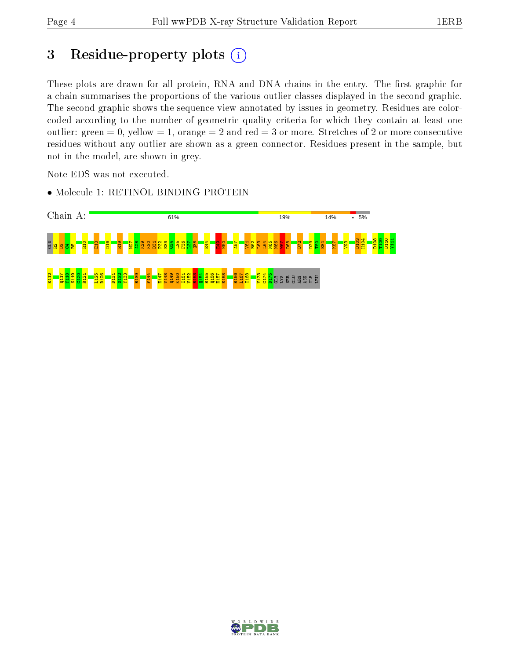### 3 Residue-property plots (i)

These plots are drawn for all protein, RNA and DNA chains in the entry. The first graphic for a chain summarises the proportions of the various outlier classes displayed in the second graphic. The second graphic shows the sequence view annotated by issues in geometry. Residues are colorcoded according to the number of geometric quality criteria for which they contain at least one outlier: green  $= 0$ , yellow  $= 1$ , orange  $= 2$  and red  $= 3$  or more. Stretches of 2 or more consecutive residues without any outlier are shown as a green connector. Residues present in the sample, but not in the model, are shown in grey.

Note EDS was not executed.

• Molecule 1: RETINOL BINDING PROTEIN



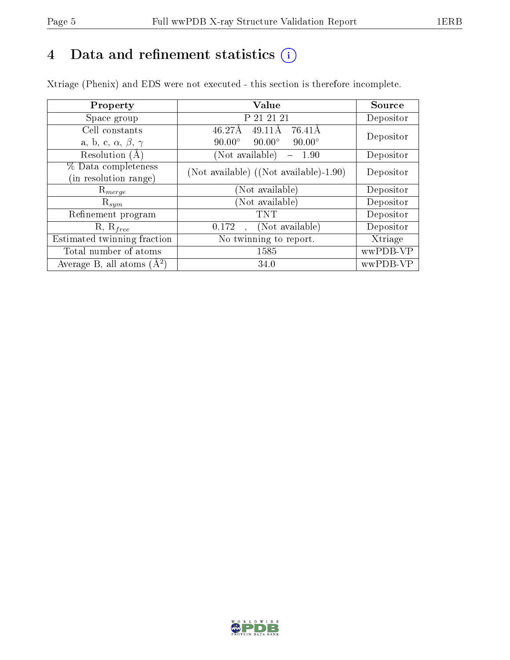## 4 Data and refinement statistics  $(i)$

Xtriage (Phenix) and EDS were not executed - this section is therefore incomplete.

| Property                               | Value                                                       | <b>Source</b> |
|----------------------------------------|-------------------------------------------------------------|---------------|
| Space group                            | P 21 21 21                                                  | Depositor     |
| Cell constants                         | $\overline{4}6.27\text{\AA}$<br>$49.11\text{\AA}$<br>76.41Å | Depositor     |
| a, b, c, $\alpha$ , $\beta$ , $\gamma$ | $90.00^\circ$<br>$90.00^\circ$<br>$90.00^\circ$             |               |
| Resolution (A)                         | (Not available)<br>1.90<br>$\overline{\phantom{m}}$         | Depositor     |
| % Data completeness                    | (Not available) ((Not available)-1.90)                      | Depositor     |
| (in resolution range)                  |                                                             |               |
| $\mathrm{R}_{merge}$                   | (Not available)                                             | Depositor     |
| $\mathrm{R}_{sym}$                     | (Not available)                                             | Depositor     |
| Refinement program                     | TNT                                                         | Depositor     |
| $R, R_{free}$                          | (Not available)<br>0.172                                    | Depositor     |
| Estimated twinning fraction            | $\overline{\text{No}}$ twinning to report.                  | Xtriage       |
| Total number of atoms                  | 1585                                                        | wwPDB-VP      |
| Average B, all atoms $(A^2)$           | 34.0                                                        | wwPDB-VP      |

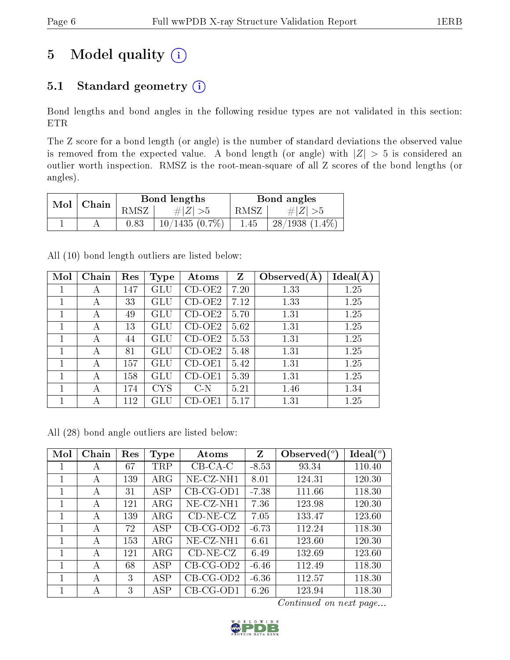## 5 Model quality  $(i)$

### 5.1 Standard geometry  $(i)$

Bond lengths and bond angles in the following residue types are not validated in this section: ETR

The Z score for a bond length (or angle) is the number of standard deviations the observed value is removed from the expected value. A bond length (or angle) with  $|Z| > 5$  is considered an outlier worth inspection. RMSZ is the root-mean-square of all Z scores of the bond lengths (or angles).

| Mol | Chain |            | Bond lengths     | Bond angles |                     |  |
|-----|-------|------------|------------------|-------------|---------------------|--|
|     |       | RMSZ       | $\# Z  > 5$      | RMSZ        | # $ Z  > 5$         |  |
|     |       | $\rm 0.83$ | $10/1435(0.7\%)$ | 1.45        | $28/1938$ $(1.4\%)$ |  |

All (10) bond length outliers are listed below:

| Mol | Chain | Res | Type       | Atoms    | $\mathbf{Z}$ | Observed $(A)$ | Ideal(A) |
|-----|-------|-----|------------|----------|--------------|----------------|----------|
| 1   | А     | 147 | GLU        | $CD-OE2$ | 7.20         | 1.33           | 1.25     |
| 1   | А     | 33  | GLU        | $CD-OE2$ | 7.12         | 1.33           | 1.25     |
| 1   | А     | 49  | GLU        | $CD-OE2$ | 5.70         | 1.31           | 1.25     |
| 1   | А     | 13  | GLU        | $CD-OE2$ | 5.62         | 1.31           | 1.25     |
| 1   | А     | 44  | GLU        | $CD-OE2$ | 5.53         | 1.31           | 1.25     |
| 1   | А     | 81  | GLU        | $CD-OE2$ | 5.48         | 1.31           | 1.25     |
| 1   | А     | 157 | GLU        | CD-OE1   | 5.42         | 1.31           | 1.25     |
| 1   | А     | 158 | GLU        | $CD-OE1$ | 5.39         | 1.31           | 1.25     |
| 1   | А     | 174 | <b>CYS</b> | $C-N$    | 5.21         | 1.46           | 1.34     |
| 1   | А     | 112 | GLU        | CD-OE1   | 5.17         | 1.31           | 1.25     |

All (28) bond angle outliers are listed below:

| Mol | Chain | Res | <b>Type</b> | Atoms        | Z       | Observed $({}^{\circ})$ | Ideal $(°)$ |
|-----|-------|-----|-------------|--------------|---------|-------------------------|-------------|
|     | А     | 67  | TRP         | $CB-CA-C$    | $-8.53$ | 93.34                   | 110.40      |
|     | А     | 139 | ${\rm ARG}$ | $NE$ -CZ-NH1 | 8.01    | 124.31                  | 120.30      |
|     | A     | 31  | ASP         | $CB-CG-OD1$  | $-7.38$ | 111.66                  | 118.30      |
|     | A     | 121 | $\rm{ARG}$  | NE-CZ-NH1    | 7.36    | 123.98                  | 120.30      |
| 1   | A     | 139 | $\rm{ARG}$  | $CD-NE- CZ$  | 7.05    | 133.47                  | 123.60      |
| 1   | А     | 72  | ASP         | $CB-CG-OD2$  | $-6.73$ | 112.24                  | 118.30      |
| 1   | А     | 153 | $\rm{ARG}$  | NE-CZ-NH1    | 6.61    | 123.60                  | 120.30      |
| 1   | А     | 121 | $\rm{ARG}$  | $CD-NE- CZ$  | 6.49    | 132.69                  | 123.60      |
|     | А     | 68  | ASP         | $CB-CG-OD2$  | $-6.46$ | 112.49                  | 118.30      |
|     | А     | 3   | ASP         | $CB-CG-OD2$  | $-6.36$ | 112.57                  | 118.30      |
|     | А     | 3   | ${\rm ASP}$ | $CB-CG-OD1$  | 6.26    | 123.94                  | 118.30      |

Continued on next page...

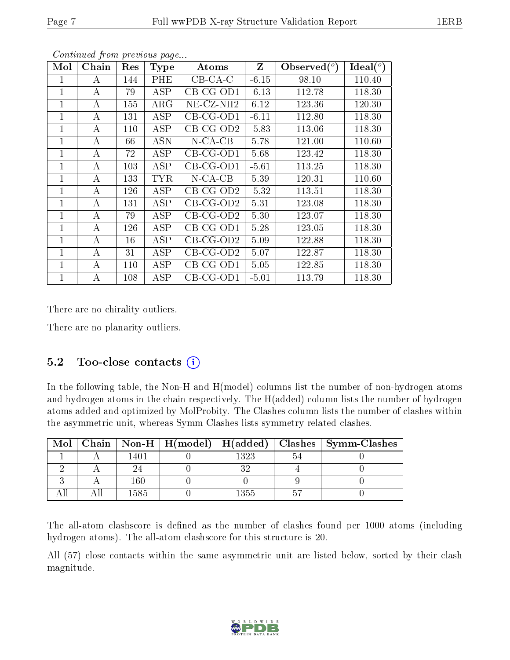| Mol | Chain    | Res     | <b>Type</b> | Atoms                 | $Z_{\parallel}$ | Observed $(°)$ | Ideal $(°)$ |
|-----|----------|---------|-------------|-----------------------|-----------------|----------------|-------------|
| 1   | A        | 144     | PHE         | $CB-CA-C$             | $-6.15$         | 98.10          | 110.40      |
| 1   | A        | 79      | ASP         | $CB-CG-OD1$           | $-6.13$         | 112.78         | 118.30      |
| 1   | A        | 155     | $\rm{ARG}$  | NE-CZ-NH <sub>2</sub> | 6.12            | 123.36         | 120.30      |
| 1   | A        | 131     | ASP         | $CB-CG-OD1$           | $-6.11$         | 112.80         | 118.30      |
| 1   | A        | $110\,$ | ASP         | $CB-CG-OD2$           | $-5.83$         | 113.06         | 118.30      |
| 1   | A        | 66      | ASN         | $N$ -CA-CB            | 5.78            | 121.00         | 110.60      |
| 1   | A        | 72      | ASP         | $CB-CG-OD1$           | 5.68            | 123.42         | 118.30      |
| 1   | A        | 103     | ASP         | $CB-CG-OD1$           | $-5.61$         | 113.25         | 118.30      |
| 1   | $\bf{A}$ | 133     | <b>TYR</b>  | $N$ -CA-CB            | 5.39            | 120.31         | 110.60      |
| 1   | A        | 126     | ASP         | $CB-CG-OD2$           | $-5.32$         | 113.51         | 118.30      |
| 1   | A        | 131     | ASP         | $CB-CG-OD2$           | 5.31            | 123.08         | 118.30      |
| 1   | $\bf{A}$ | 79      | ASP         | $CB-CG-OD2$           | 5.30            | 123.07         | 118.30      |
| 1   | A        | 126     | ASP         | $CB-CG-OD1$           | 5.28            | 123.05         | 118.30      |
| 1   | $\bf{A}$ | 16      | ASP         | $CB-CG-OD2$           | 5.09            | 122.88         | 118.30      |
| 1   | A        | 31      | ASP         | $CB-CG-OD2$           | 5.07            | 122.87         | 118.30      |
| 1   | A        | 110     | ASP         | $CB-CG-OD1$           | 5.05            | 122.85         | 118.30      |
| 1   | A        | 108     | ASP         | $CB-CG-OD1$           | $-5.01$         | 113.79         | 118.30      |

Continued from previous page...

There are no chirality outliers.

There are no planarity outliers.

#### 5.2 Too-close contacts  $(i)$

In the following table, the Non-H and H(model) columns list the number of non-hydrogen atoms and hydrogen atoms in the chain respectively. The H(added) column lists the number of hydrogen atoms added and optimized by MolProbity. The Clashes column lists the number of clashes within the asymmetric unit, whereas Symm-Clashes lists symmetry related clashes.

| Mol |      |      | Chain   Non-H   H(model)   H(added)   Clashes   Symm-Clashes |
|-----|------|------|--------------------------------------------------------------|
|     | 1401 | 1323 |                                                              |
|     |      |      |                                                              |
|     | 160  |      |                                                              |
|     | 1585 | 1355 |                                                              |

The all-atom clashscore is defined as the number of clashes found per 1000 atoms (including hydrogen atoms). The all-atom clashscore for this structure is 20.

All (57) close contacts within the same asymmetric unit are listed below, sorted by their clash magnitude.

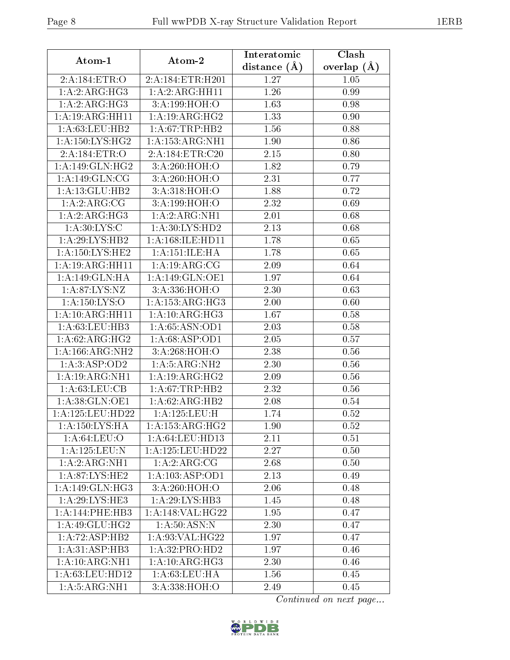| Atom-1               | Atom-2                    | Interatomic    | Clash         |
|----------------------|---------------------------|----------------|---------------|
|                      |                           | distance $(A)$ | overlap $(A)$ |
| 2:A:184:ETR:O        | 2:A:184:ETR:H201          | 1.27           | 1.05          |
| 1:A:2:ARG:HG3        | 1:A:2:ARG:HH11            | 1.26           | 0.99          |
| 1:A:2:ARG:HG3        | 3: A: 199: HOH:O          | 1.63           | 0.98          |
| 1: A:19: ARG: HH11   | 1: A:19: ARG:HG2          | 1.33           | 0.90          |
| 1: A:63:LEU:HB2      | 1:A:67:TRP:HB2            | 1.56           | 0.88          |
| 1: A:150: LYS: HG2   | 1:A:153:ARG:NH1           | 1.90           | 0.86          |
| 2:A:184:ETR:O        | 2:A:184:ETR:C20           | 2.15           | 0.80          |
| 1:A:149:GLN:HG2      | 3:A:260:HOH:O             | 1.82           | 0.79          |
| 1: A:149: GLN: CG    | 3: A:260:HOH:O            | 2.31           | 0.77          |
| 1:A:13:GLU:HB2       | 3: A:318: HOH:O           | 1.88           | 0.72          |
| 1: A:2: ARG: CG      | 3:A:199:HOH:O             | 2.32           | 0.69          |
| 1:A:2:ARG:HG3        | 1: A:2: ARG:NH1           | $2.01\,$       | 0.68          |
| 1: A:30: LYS: C      | 1:A:30:LYS:HD2            | 2.13           | 0.68          |
| 1:A:29:LYS:HB2       | 1: A: 168: ILE: HD11      | 1.78           | 0.65          |
| 1: A: 150: LYS: HE2  | 1:A:151:ILE:HA            | 1.78           | 0.65          |
| 1:A:19:ARG:HH11      | 1:A:19:ARG:CG             | 2.09           | 0.64          |
| 1:A:149:GLN:HA       | 1: A:149: GLN:OE1         | 1.97           | 0.64          |
| 1: A:87: LYS: NZ     | 3:A:336:HOH:O             | 2.30           | 0.63          |
| 1: A: 150: LYS: O    | 1: A: 153: ARG: HG3       | 2.00           | 0.60          |
| 1:A:10:ARG:HH11      | 1: A:10: ARG:HG3          | 1.67           | 0.58          |
| 1:A:63:LEU:HB3       | 1:A:65:ASN:OD1            | 2.03           | 0.58          |
| 1: A:62: ARG:HG2     | 1:A:68:ASP:OD1            | 2.05           | 0.57          |
| 1: A: 166: ARG: NH2  | 3:A:268:HOH:O             | 2.38           | 0.56          |
| 1:A:3:ASP:OD2        | 1: A:5: ARG:NH2           | 2.30           | 0.56          |
| 1:A:19:ARG:NH1       | 1:A:19:ARG:HG2            | 2.09           | 0.56          |
| 1: A:63:LEU:CB       | 1: A:67:TRP:HB2           | 2.32           | 0.56          |
| 1:A:38:GLN:OE1       | 1: A:62: ARG: HB2         | 2.08           | 0.54          |
| 1: A: 125: LEU: HD22 | 1:A:125:LEU:H             | 1.74           | 0.52          |
| 1: A: 150: LYS: HA   | 1: A: 153: ARG: HG2       | 1.90           | 0.52          |
| 1: A:64:LEU:O        | 1: A:64:LEU:HD13          | 2.11           | 0.51          |
| 1:A:125:LEU:N        | 1: A: 125: LEU: HD22      | 2.27           | 0.50          |
| 1: A:2: ARG:NH1      | $1:A:\overline{2:ARG:CG}$ | 2.68           | 0.50          |
| 1: A:87: LYS: HE2    | 1: A: 103: ASP: OD1       | 2.13           | 0.49          |
| 1:A:149:GLN:HG3      | 3: A:260:HOH:O            | 2.06           | 0.48          |
| 1: A:29: LYS: HE3    | 1:A:29:LYS:HB3            | 1.45           | 0.48          |
| 1:A:144:PHE:HB3      | 1:A:148:VAL:HG22          | 1.95           | 0.47          |
| 1:A:49:GLU:HG2       | 1: A:50: ASN: N           | 2.30           | 0.47          |
| 1:A:72:ASP:HB2       | 1:A:93:VAL:HG22           | 1.97           | 0.47          |
| 1: A:31: ASP:HB3     | 1:A:32:PRO:HD2            | 1.97           | 0.46          |
| 1:A:10:ARG:NH1       | 1: A:10: ARG:HG3          | 2.30           | 0.46          |
| 1:A:63:LEU:HD12      | 1: A:63:LEU:HA            | 1.56           | 0.45          |
| 1: A:5: ARG:NH1      | 3:A:338:HOH:O             | 2.49           | 0.45          |

Continued on next page...

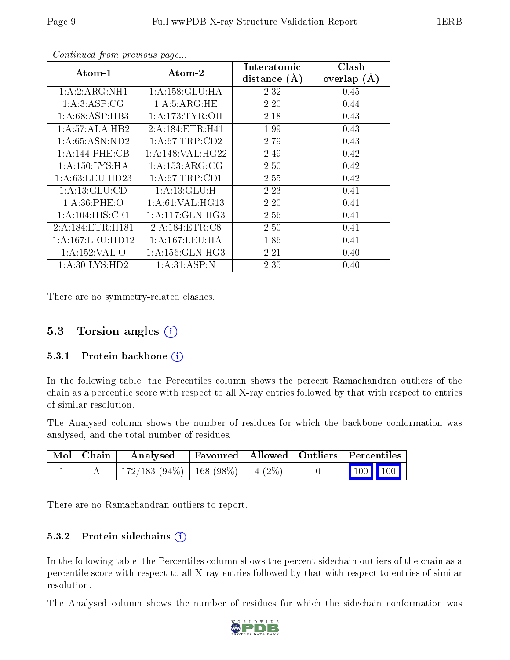|                      |                     | Interatomic    | Clash         |
|----------------------|---------------------|----------------|---------------|
| Atom-1               | Atom-2              | distance $(A)$ | overlap $(A)$ |
| 1:A:2:ARG:NH1        | 1:A:158:GLU:HA      | 2.32           | 0.45          |
| 1: A:3: ASP:CG       | 1: A: 5: ARG: HE    | 2.20           | 0.44          |
| 1: A:68:ASP:HB3      | 1: A:173: TYR:OH    | 2.18           | 0.43          |
| 1: A:57: ALA:HB2     | 2:A:184:ETR:H41     | 1.99           | 0.43          |
| 1: A:65: ASN:ND2     | 1: A:67:TRP:CD2     | 2.79           | 0.43          |
| 1:A:144:PHE:CB       | 1: A:148: VAL:HG22  | 2.49           | 0.42          |
| 1: A:150: LYS:HA     | 1:A:153:ARG:CG      | 2.50           | 0.42          |
| 1: A:63:LEU:HD23     | 1: A:67:TRP:CD1     | 2.55           | 0.42          |
| 1: A: 13: GLU: CD    | 1: A:13: GLU: H     | 2.23           | 0.41          |
| 1: A:36:PHE:O        | 1: A:61:VAL:HG13    | 2.20           | 0.41          |
| 1: A:104: HIS: CE1   | 1:A:117:GLN:HG3     | 2.56           | 0.41          |
| 2:A:184:ETR:H181     | 2:A:184:ETR:C8      | 2.50           | 0.41          |
| 1: A: 167: LEU: HD12 | 1: A: 167: LEU: HA  | 1.86           | 0.41          |
| 1:A:152:VAL:O        | 1: A: 156: GLN: HG3 | 2.21           | 0.40          |
| 1: A:30: LYS: HD2    | 1: A:31: ASP:N      | 2.35           | 0.40          |

Continued from previous page...

There are no symmetry-related clashes.

### 5.3 Torsion angles  $(i)$

#### 5.3.1 Protein backbone  $(i)$

In the following table, the Percentiles column shows the percent Ramachandran outliers of the chain as a percentile score with respect to all X-ray entries followed by that with respect to entries of similar resolution.

The Analysed column shows the number of residues for which the backbone conformation was analysed, and the total number of residues.

| Mol   Chain | Analysed                                | Favoured   Allowed   Outliers   Percentiles |  |  |                             |
|-------------|-----------------------------------------|---------------------------------------------|--|--|-----------------------------|
|             | $172/183$ (94\%)   168 (98\%)   4 (2\%) |                                             |  |  | $\boxed{100}$ $\boxed{100}$ |

There are no Ramachandran outliers to report.

#### 5.3.2 Protein sidechains (i)

In the following table, the Percentiles column shows the percent sidechain outliers of the chain as a percentile score with respect to all X-ray entries followed by that with respect to entries of similar resolution.

The Analysed column shows the number of residues for which the sidechain conformation was

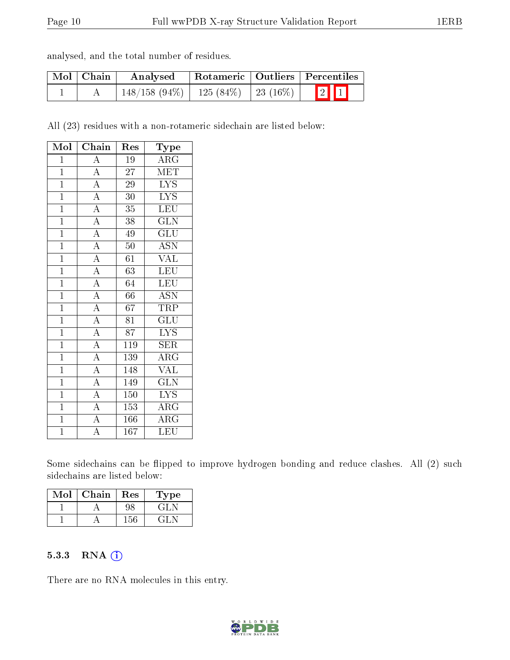| analysed, and the total number of residues. |  |  |  |  |  |  |
|---------------------------------------------|--|--|--|--|--|--|
|---------------------------------------------|--|--|--|--|--|--|

| Mol   Chain | Analysed                                  |  | $\mid$ Rotameric $\mid$ Outliers $\mid$ Percentiles |  |
|-------------|-------------------------------------------|--|-----------------------------------------------------|--|
|             | $148/158$ (94\%)   125 (84\%)   23 (16\%) |  | $\boxed{2}$ $\boxed{1}$                             |  |

All (23) residues with a non-rotameric sidechain are listed below:

| Mol            | Chain                                                                   | Res              | Type                      |
|----------------|-------------------------------------------------------------------------|------------------|---------------------------|
| $\mathbf{1}$   | $\overline{A}$                                                          | $\overline{19}$  | $\overline{\text{ARG}}$   |
| $\mathbf{1}$   | $\frac{\overline{A}}{\overline{A}}$                                     | $\overline{27}$  | MET                       |
| $\overline{1}$ |                                                                         | 29               | $\overline{\text{LYS}}$   |
| $\mathbf{1}$   | $\overline{A}$                                                          | $\overline{30}$  | $\overline{\text{LYS}}$   |
| $\overline{1}$ | $\overline{A}$                                                          | $35\,$           | LEU                       |
| $\overline{1}$ | $\frac{\overline{A}}{\overline{A}}$                                     | 38               | GLN                       |
| $\overline{1}$ |                                                                         | 49               | GLU                       |
| $\mathbf{1}$   |                                                                         | 50               | $\overline{\mathrm{ASN}}$ |
| $\mathbf{1}$   | $\frac{\overline{A}}{\overline{A}}$ $\frac{\overline{A}}{\overline{A}}$ | 61               | $\rm \sqrt{AL}$           |
| $\mathbf{1}$   |                                                                         | $\overline{63}$  | LEU                       |
| $\overline{1}$ |                                                                         | 64               | LEU                       |
| $\mathbf{1}$   |                                                                         | 66               | <b>ASN</b>                |
| $\overline{1}$ | $\overline{A}$                                                          | 67               | <b>TRP</b>                |
| $\overline{1}$ | $\frac{\overline{A}}{\overline{A}}$                                     | 81               | $\overline{{\rm GLU}}$    |
| $\overline{1}$ |                                                                         | $\overline{87}$  | $\overline{\text{LYS}}$   |
| $\mathbf{1}$   | $\overline{A}$                                                          | $\overline{1}19$ | <b>SER</b>                |
| $\mathbf{1}$   | $\overline{A}$                                                          | 139              | $\rm{ARG}$                |
| $\overline{1}$ | $\frac{\overline{A}}{\overline{A}}$                                     | $\overline{148}$ | <b>VAL</b>                |
| $\mathbf{1}$   |                                                                         | 149              | $\overline{\text{GLN}}$   |
| $\overline{1}$ | $\frac{1}{A}$                                                           | 150              | $\overline{\text{LYS}}$   |
| $\mathbf{1}$   | $\overline{A}$                                                          | 153              | $\rm{ARG}$                |
| $\overline{1}$ | $\overline{A}$                                                          | $\overline{166}$ | $\overline{\rm{ARG}}$     |
| $\overline{1}$ | $\overline{\rm A}$                                                      | $\overline{167}$ | LEU                       |

Some sidechains can be flipped to improve hydrogen bonding and reduce clashes. All (2) such sidechains are listed below:

| Mol | Chain | Res | Type  |
|-----|-------|-----|-------|
|     |       | Ч٢  | E PIT |
|     |       | 5۴، |       |

#### 5.3.3 RNA (1)

There are no RNA molecules in this entry.

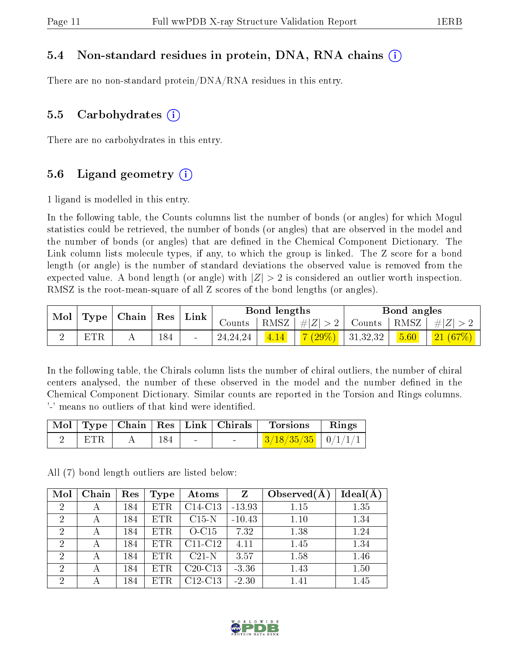#### 5.4 Non-standard residues in protein, DNA, RNA chains (i)

There are no non-standard protein/DNA/RNA residues in this entry.

#### 5.5 Carbohydrates  $(i)$

There are no carbohydrates in this entry.

#### 5.6 Ligand geometry  $(i)$

1 ligand is modelled in this entry.

In the following table, the Counts columns list the number of bonds (or angles) for which Mogul statistics could be retrieved, the number of bonds (or angles) that are observed in the model and the number of bonds (or angles) that are dened in the Chemical Component Dictionary. The Link column lists molecule types, if any, to which the group is linked. The Z score for a bond length (or angle) is the number of standard deviations the observed value is removed from the expected value. A bond length (or angle) with  $|Z| > 2$  is considered an outlier worth inspection. RMSZ is the root-mean-square of all Z scores of the bond lengths (or angles).

| Mol<br>Type |            | Chain | Res | Link   | Bond lengths |      |          | Bond angles |                            |         |
|-------------|------------|-------|-----|--------|--------------|------|----------|-------------|----------------------------|---------|
|             |            |       |     |        | Counts       | RMSZ | H Z      | Counts      | $^{\circ}$ RMSZ $_{\perp}$ | $\# Z $ |
|             | <b>LUD</b> |       | 184 | $\sim$ | 24, 24, 24   | 4.14 | $(29\%)$ | 31,32,32    | 5.60                       | 21(67%) |

In the following table, the Chirals column lists the number of chiral outliers, the number of chiral centers analysed, the number of these observed in the model and the number defined in the Chemical Component Dictionary. Similar counts are reported in the Torsion and Rings columns. '-' means no outliers of that kind were identified.

|     |     |        |                                   | Mol   Type   Chain   Res   Link   Chirals   Torsions | Rings |
|-----|-----|--------|-----------------------------------|------------------------------------------------------|-------|
| ETR | 184 | $\sim$ | <b>Contract Contract Contract</b> | $3/18/35/35$   0/1/1/1                               |       |

All (7) bond length outliers are listed below:

| Mol            | Chain | Res | <b>Type</b> | Atoms                            | Z        | Observed $(A)$ | $Ideal(\AA)$ |
|----------------|-------|-----|-------------|----------------------------------|----------|----------------|--------------|
| $\overline{2}$ | А     | 184 | ETR         | C <sub>14</sub> -C <sub>13</sub> | $-13.93$ | 1.15           | 1.35         |
| $\overline{2}$ | А     | 184 | <b>ETR</b>  | $C15$ N                          | $-10.43$ | 1.10           | 1.34         |
| $\overline{2}$ | А     | 184 | <b>ETR</b>  | $O-C15$                          | 7.32     | 1.38           | 1.24         |
| $\overline{2}$ | А     | 184 | ETR         | $C11-C12$                        | 4.11     | 1.45           | 1.34         |
| $\overline{2}$ |       | 184 | <b>ETR</b>  | $C21-N$                          | 3.57     | 1.58           | 1.46         |
| $\overline{2}$ | А     | 184 | ETR         | $C20-C13$                        | $-3.36$  | 1.43           | 1.50         |
| 2              | А     | 184 | ETR         | $C12-C13$                        | $-2.30$  | 1.41           | 1.45         |

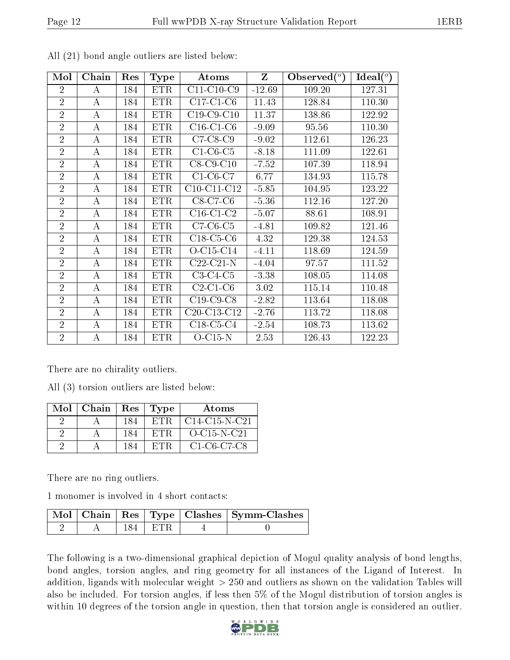| Mol            | Chain            | Res | Type       | Atoms                                             | Z        | Observed $(°)$ | $\text{Ideal}({}^o)$ |
|----------------|------------------|-----|------------|---------------------------------------------------|----------|----------------|----------------------|
| $\overline{2}$ | A                | 184 | <b>ETR</b> | $C11-C10-C9$                                      | $-12.69$ | 109.20         | 127.31               |
| $\overline{2}$ | $\boldsymbol{A}$ | 184 | <b>ETR</b> | $C17-C1-C6$                                       | 11.43    | 128.84         | 110.30               |
| $\overline{2}$ | $\boldsymbol{A}$ | 184 | <b>ETR</b> | $C19-C9-C10$                                      | 11.37    | 138.86         | 122.92               |
| $\overline{2}$ | A                | 184 | <b>ETR</b> | $C16-C1-C6$                                       | $-9.09$  | 95.56          | 110.30               |
| $\overline{2}$ | А                | 184 | <b>ETR</b> | $C7-C8-C9$                                        | $-9.02$  | 112.61         | 126.23               |
| $\overline{2}$ | А                | 184 | <b>ETR</b> | $C1-C6-C5$                                        | $-8.18$  | 111.09         | 122.61               |
| $\overline{2}$ | A                | 184 | <b>ETR</b> | $C8-C9-C10$                                       | $-7.52$  | 107.39         | 118.94               |
| $\overline{2}$ | А                | 184 | <b>ETR</b> | $C1-C6-C7$                                        | 6.77     | 134.93         | 115.78               |
| $\overline{2}$ | А                | 184 | <b>ETR</b> | $C10-C11-C12$                                     | $-5.85$  | 104.95         | 123.22               |
| $\overline{2}$ | A                | 184 | <b>ETR</b> | $C8-C7-C6$                                        | $-5.36$  | 112.16         | 127.20               |
| $\overline{2}$ | А                | 184 | <b>ETR</b> | $C16-C1-C2$                                       | $-5.07$  | 88.61          | 108.91               |
| $\overline{2}$ | А                | 184 | <b>ETR</b> | $C7-C6-C5$                                        | $-4.81$  | 109.82         | 121.46               |
| $\overline{2}$ | $\bf{A}$         | 184 | <b>ETR</b> | $C18-C5-C6$                                       | 4.32     | 129.38         | 124.53               |
| $\overline{2}$ | А                | 184 | <b>ETR</b> | $O-C15-C14$                                       | $-4.11$  | 118.69         | 124.59               |
| $\overline{2}$ | А                | 184 | <b>ETR</b> | $C22-C21-N$                                       | $-4.04$  | 97.57          | 111.52               |
| $\overline{2}$ | $\bf{A}$         | 184 | <b>ETR</b> | $C3-C4-C5$                                        | $-3.38$  | 108.05         | 114.08               |
| $\overline{2}$ | А                | 184 | <b>ETR</b> | $C2-C1-C6$                                        | 3.02     | 115.14         | 110.48               |
| $\overline{2}$ | А                | 184 | <b>ETR</b> | $C19$ -C9-C8                                      | $-2.82$  | 113.64         | 118.08               |
| $\overline{2}$ | $\boldsymbol{A}$ | 184 | <b>ETR</b> | C <sub>20</sub> -C <sub>13</sub> -C <sub>12</sub> | $-2.76$  | 113.72         | 118.08               |
| $\overline{2}$ | $\overline{A}$   | 184 | <b>ETR</b> | $C18-C5-C4$                                       | $-2.54$  | 108.73         | 113.62               |
| $\overline{2}$ | А                | 184 | <b>ETR</b> | $O-C15-N$                                         | 2.53     | 126.43         | 122.23               |

All (21) bond angle outliers are listed below:

There are no chirality outliers.

All (3) torsion outliers are listed below:

| Mol | $\mid$ Chain | Res | Type       | Atoms                                   |
|-----|--------------|-----|------------|-----------------------------------------|
|     |              | 184 | ETR.       | $C14-C15-N-C21$                         |
|     |              | 184 | <b>FTR</b> | $O$ -C <sub>15</sub> -N-C <sub>21</sub> |
|     |              | 184 | F.TR       | $C1-C6-C7-C8$                           |

There are no ring outliers.

1 monomer is involved in 4 short contacts:

|  |           | Mol   Chain   Res   Type   Clashes   Symm-Clashes |
|--|-----------|---------------------------------------------------|
|  | 184 L ETR |                                                   |

The following is a two-dimensional graphical depiction of Mogul quality analysis of bond lengths, bond angles, torsion angles, and ring geometry for all instances of the Ligand of Interest. In addition, ligands with molecular weight > 250 and outliers as shown on the validation Tables will also be included. For torsion angles, if less then 5% of the Mogul distribution of torsion angles is within 10 degrees of the torsion angle in question, then that torsion angle is considered an outlier.

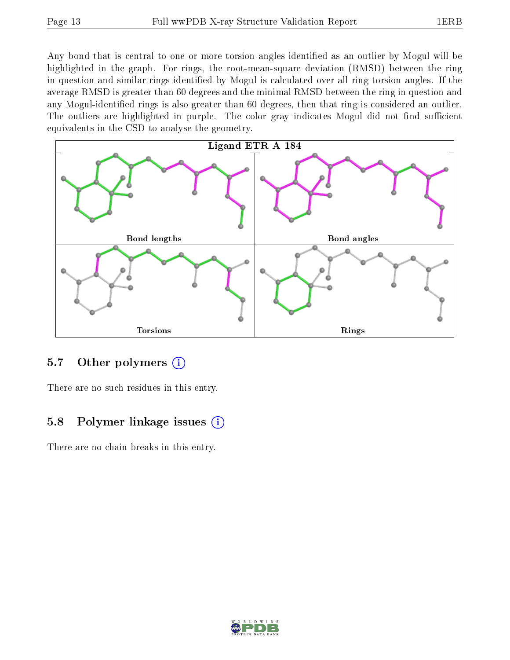Any bond that is central to one or more torsion angles identified as an outlier by Mogul will be highlighted in the graph. For rings, the root-mean-square deviation (RMSD) between the ring in question and similar rings identified by Mogul is calculated over all ring torsion angles. If the average RMSD is greater than 60 degrees and the minimal RMSD between the ring in question and any Mogul-identified rings is also greater than 60 degrees, then that ring is considered an outlier. The outliers are highlighted in purple. The color gray indicates Mogul did not find sufficient equivalents in the CSD to analyse the geometry.



#### 5.7 [O](https://www.wwpdb.org/validation/2017/XrayValidationReportHelp#nonstandard_residues_and_ligands)ther polymers  $(i)$

There are no such residues in this entry.

#### 5.8 Polymer linkage issues  $(i)$

There are no chain breaks in this entry.